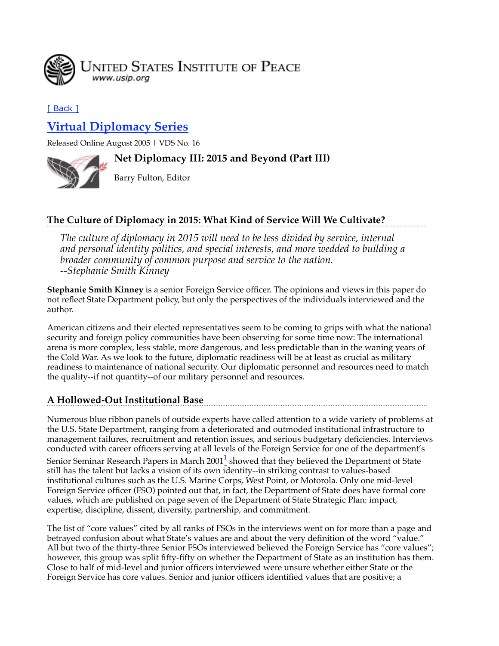

# [ Back ]

# **Virtual Diplomacy Series**

Released Online August 2005 | VDS No. 16

## **Net Diplomacy III: 2015 and Beyond (Part III)**



Barry Fulton, Editor

# **The Culture of Diplomacy in 2015: What Kind of Service Will We Cultivate?**

*The culture of diplomacy in 2015 will need to be less divided by service, internal and personal identity politics, and special interests, and more wedded to building a broader community of common purpose and service to the nation. --Stephanie Smith Kinney*

**Stephanie Smith Kinney** is a senior Foreign Service officer. The opinions and views in this paper do not reflect State Department policy, but only the perspectives of the individuals interviewed and the author.

American citizens and their elected representatives seem to be coming to grips with what the national security and foreign policy communities have been observing for some time now: The international arena is more complex, less stable, more dangerous, and less predictable than in the waning years of the Cold War. As we look to the future, diplomatic readiness will be at least as crucial as military readiness to maintenance of national security. Our diplomatic personnel and resources need to match the quality--if not quantity--of our military personnel and resources.

# **A Hollowed-Out Institutional Base**

Numerous blue ribbon panels of outside experts have called attention to a wide variety of problems at the U.S. State Department, ranging from a deteriorated and outmoded institutional infrastructure to management failures, recruitment and retention issues, and serious budgetary deficiencies. Interviews conducted with career officers serving at all levels of the Foreign Service for one of the department's Senior Seminar Research Papers in March 2001 $^1$  showed that they believed the Department of State still has the talent but lacks a vision of its own identity--in striking contrast to values-based institutional cultures such as the U.S. Marine Corps, West Point, or Motorola. Only one mid-level Foreign Service officer (FSO) pointed out that, in fact, the Department of State does have formal core values, which are published on page seven of the Department of State Strategic Plan: impact, expertise, discipline, dissent, diversity, partnership, and commitment.

The list of "core values" cited by all ranks of FSOs in the interviews went on for more than a page and betrayed confusion about what State's values are and about the very definition of the word "value." All but two of the thirty-three Senior FSOs interviewed believed the Foreign Service has "core values"; however, this group was split fifty-fifty on whether the Department of State as an institution has them. Close to half of mid-level and junior officers interviewed were unsure whether either State or the Foreign Service has core values. Senior and junior officers identified values that are positive; a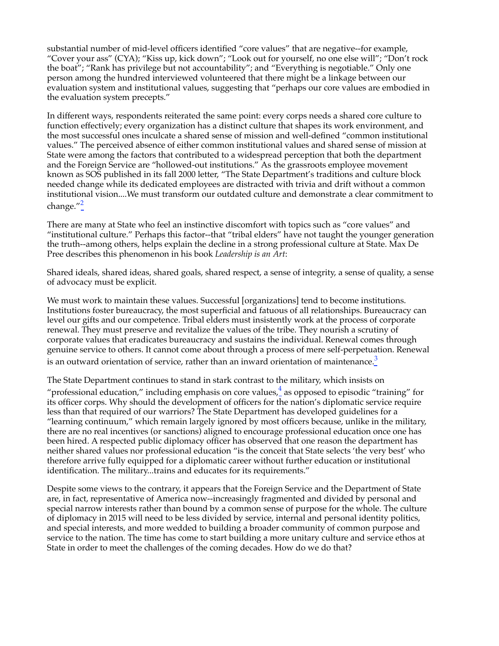substantial number of mid-level officers identified "core values" that are negative--for example, "Cover your ass" (CYA); "Kiss up, kick down"; "Look out for yourself, no one else will"; "Don't rock the boat"; "Rank has privilege but not accountability"; and "Everything is negotiable." Only one person among the hundred interviewed volunteered that there might be a linkage between our evaluation system and institutional values, suggesting that "perhaps our core values are embodied in the evaluation system precepts."

In different ways, respondents reiterated the same point: every corps needs a shared core culture to function effectively; every organization has a distinct culture that shapes its work environment, and the most successful ones inculcate a shared sense of mission and well-defined "common institutional values." The perceived absence of either common institutional values and shared sense of mission at State were among the factors that contributed to a widespread perception that both the department and the Foreign Service are "hollowed-out institutions." As the grassroots employee movement known as SOS published in its fall 2000 letter, "The State Department's traditions and culture block needed change while its dedicated employees are distracted with trivia and drift without a common institutional vision....We must transform our outdated culture and demonstrate a clear commitment to change. $^{\prime\prime}$ <sup>2</sup>

There are many at State who feel an instinctive discomfort with topics such as "core values" and "institutional culture." Perhaps this factor--that "tribal elders" have not taught the younger generation the truth--among others, helps explain the decline in a strong professional culture at State. Max De Pree describes this phenomenon in his book *Leadership is an Art*:

Shared ideals, shared ideas, shared goals, shared respect, a sense of integrity, a sense of quality, a sense of advocacy must be explicit.

We must work to maintain these values. Successful [organizations] tend to become institutions. Institutions foster bureaucracy, the most superficial and fatuous of all relationships. Bureaucracy can level our gifts and our competence. Tribal elders must insistently work at the process of corporate renewal. They must preserve and revitalize the values of the tribe. They nourish a scrutiny of corporate values that eradicates bureaucracy and sustains the individual. Renewal comes through genuine service to others. It cannot come about through a process of mere self-perpetuation. Renewal is an outward orientation of service, rather than an inward orientation of maintenance.<sup>3</sup>

The State Department continues to stand in stark contrast to the military, which insists on

"professional education," including emphasis on core values, $\frac{4}{5}$  as opposed to episodic "training" for its officer corps. Why should the development of officers for the nation's diplomatic service require less than that required of our warriors? The State Department has developed guidelines for a "learning continuum," which remain largely ignored by most officers because, unlike in the military, there are no real incentives (or sanctions) aligned to encourage professional education once one has been hired. A respected public diplomacy officer has observed that one reason the department has neither shared values nor professional education "is the conceit that State selects 'the very best' who therefore arrive fully equipped for a diplomatic career without further education or institutional identification. The military...trains and educates for its requirements."

Despite some views to the contrary, it appears that the Foreign Service and the Department of State are, in fact, representative of America now--increasingly fragmented and divided by personal and special narrow interests rather than bound by a common sense of purpose for the whole. The culture of diplomacy in 2015 will need to be less divided by service, internal and personal identity politics, and special interests, and more wedded to building a broader community of common purpose and service to the nation. The time has come to start building a more unitary culture and service ethos at State in order to meet the challenges of the coming decades. How do we do that?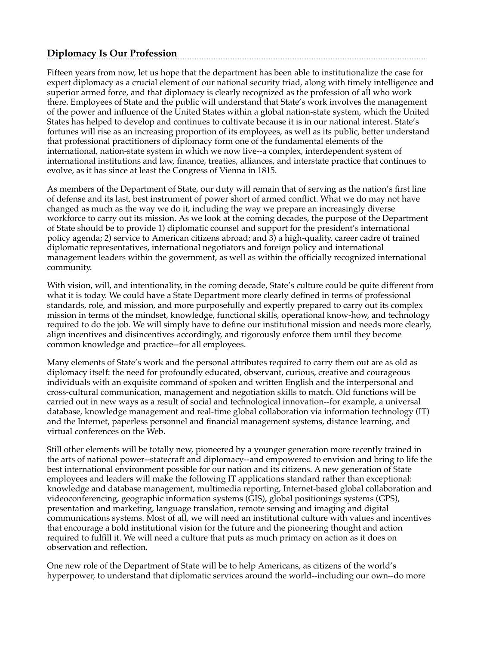## **Diplomacy Is Our Profession**

Fifteen years from now, let us hope that the department has been able to institutionalize the case for expert diplomacy as a crucial element of our national security triad, along with timely intelligence and superior armed force, and that diplomacy is clearly recognized as the profession of all who work there. Employees of State and the public will understand that State's work involves the management of the power and influence of the United States within a global nation-state system, which the United States has helped to develop and continues to cultivate because it is in our national interest. State's fortunes will rise as an increasing proportion of its employees, as well as its public, better understand that professional practitioners of diplomacy form one of the fundamental elements of the international, nation-state system in which we now live--a complex, interdependent system of international institutions and law, finance, treaties, alliances, and interstate practice that continues to evolve, as it has since at least the Congress of Vienna in 1815.

As members of the Department of State, our duty will remain that of serving as the nation's first line of defense and its last, best instrument of power short of armed conflict. What we do may not have changed as much as the way we do it, including the way we prepare an increasingly diverse workforce to carry out its mission. As we look at the coming decades, the purpose of the Department of State should be to provide 1) diplomatic counsel and support for the president's international policy agenda; 2) service to American citizens abroad; and 3) a high-quality, career cadre of trained diplomatic representatives, international negotiators and foreign policy and international management leaders within the government, as well as within the officially recognized international community.

With vision, will, and intentionality, in the coming decade, State's culture could be quite different from what it is today. We could have a State Department more clearly defined in terms of professional standards, role, and mission, and more purposefully and expertly prepared to carry out its complex mission in terms of the mindset, knowledge, functional skills, operational know-how, and technology required to do the job. We will simply have to define our institutional mission and needs more clearly, align incentives and disincentives accordingly, and rigorously enforce them until they become common knowledge and practice--for all employees.

Many elements of State's work and the personal attributes required to carry them out are as old as diplomacy itself: the need for profoundly educated, observant, curious, creative and courageous individuals with an exquisite command of spoken and written English and the interpersonal and cross-cultural communication, management and negotiation skills to match. Old functions will be carried out in new ways as a result of social and technological innovation--for example, a universal database, knowledge management and real-time global collaboration via information technology (IT) and the Internet, paperless personnel and financial management systems, distance learning, and virtual conferences on the Web.

Still other elements will be totally new, pioneered by a younger generation more recently trained in the arts of national power--statecraft and diplomacy--and empowered to envision and bring to life the best international environment possible for our nation and its citizens. A new generation of State employees and leaders will make the following IT applications standard rather than exceptional: knowledge and database management, multimedia reporting, Internet-based global collaboration and videoconferencing, geographic information systems (GIS), global positionings systems (GPS), presentation and marketing, language translation, remote sensing and imaging and digital communications systems. Most of all, we will need an institutional culture with values and incentives that encourage a bold institutional vision for the future and the pioneering thought and action required to fulfill it. We will need a culture that puts as much primacy on action as it does on observation and reflection.

One new role of the Department of State will be to help Americans, as citizens of the world's hyperpower, to understand that diplomatic services around the world--including our own--do more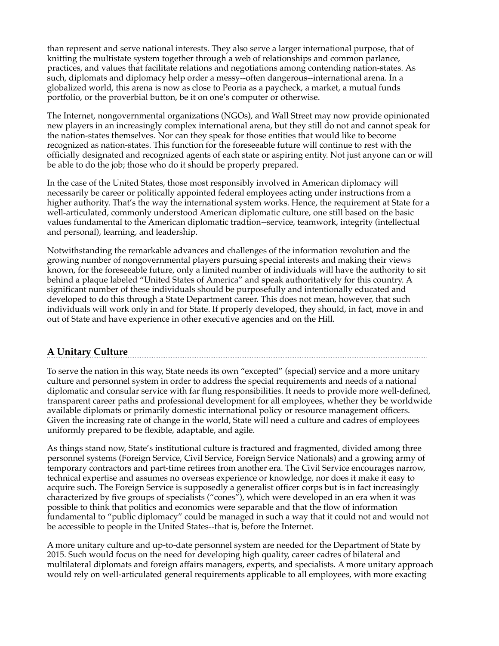than represent and serve national interests. They also serve a larger international purpose, that of knitting the multistate system together through a web of relationships and common parlance, practices, and values that facilitate relations and negotiations among contending nation-states. As such, diplomats and diplomacy help order a messy--often dangerous--international arena. In a globalized world, this arena is now as close to Peoria as a paycheck, a market, a mutual funds portfolio, or the proverbial button, be it on one's computer or otherwise.

The Internet, nongovernmental organizations (NGOs), and Wall Street may now provide opinionated new players in an increasingly complex international arena, but they still do not and cannot speak for the nation-states themselves. Nor can they speak for those entities that would like to become recognized as nation-states. This function for the foreseeable future will continue to rest with the officially designated and recognized agents of each state or aspiring entity. Not just anyone can or will be able to do the job; those who do it should be properly prepared.

In the case of the United States, those most responsibly involved in American diplomacy will necessarily be career or politically appointed federal employees acting under instructions from a higher authority. That's the way the international system works. Hence, the requirement at State for a well-articulated, commonly understood American diplomatic culture, one still based on the basic values fundamental to the American diplomatic tradtion--service, teamwork, integrity (intellectual and personal), learning, and leadership.

Notwithstanding the remarkable advances and challenges of the information revolution and the growing number of nongovernmental players pursuing special interests and making their views known, for the foreseeable future, only a limited number of individuals will have the authority to sit behind a plaque labeled "United States of America" and speak authoritatively for this country. A significant number of these individuals should be purposefully and intentionally educated and developed to do this through a State Department career. This does not mean, however, that such individuals will work only in and for State. If properly developed, they should, in fact, move in and out of State and have experience in other executive agencies and on the Hill.

# **A Unitary Culture**

To serve the nation in this way, State needs its own "excepted" (special) service and a more unitary culture and personnel system in order to address the special requirements and needs of a national diplomatic and consular service with far flung responsibilities. It needs to provide more well-defined, transparent career paths and professional development for all employees, whether they be worldwide available diplomats or primarily domestic international policy or resource management officers. Given the increasing rate of change in the world, State will need a culture and cadres of employees uniformly prepared to be flexible, adaptable, and agile.

As things stand now, State's institutional culture is fractured and fragmented, divided among three personnel systems (Foreign Service, Civil Service, Foreign Service Nationals) and a growing army of temporary contractors and part-time retirees from another era. The Civil Service encourages narrow, technical expertise and assumes no overseas experience or knowledge, nor does it make it easy to acquire such. The Foreign Service is supposedly a generalist officer corps but is in fact increasingly characterized by five groups of specialists ("cones"), which were developed in an era when it was possible to think that politics and economics were separable and that the flow of information fundamental to "public diplomacy" could be managed in such a way that it could not and would not be accessible to people in the United States--that is, before the Internet.

A more unitary culture and up-to-date personnel system are needed for the Department of State by 2015. Such would focus on the need for developing high quality, career cadres of bilateral and multilateral diplomats and foreign affairs managers, experts, and specialists. A more unitary approach would rely on well-articulated general requirements applicable to all employees, with more exacting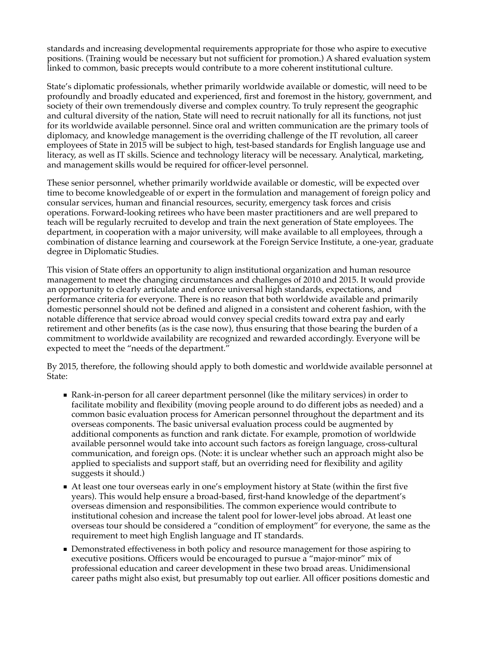standards and increasing developmental requirements appropriate for those who aspire to executive positions. (Training would be necessary but not sufficient for promotion.) A shared evaluation system linked to common, basic precepts would contribute to a more coherent institutional culture.

State's diplomatic professionals, whether primarily worldwide available or domestic, will need to be profoundly and broadly educated and experienced, first and foremost in the history, government, and society of their own tremendously diverse and complex country. To truly represent the geographic and cultural diversity of the nation, State will need to recruit nationally for all its functions, not just for its worldwide available personnel. Since oral and written communication are the primary tools of diplomacy, and knowledge management is the overriding challenge of the IT revolution, all career employees of State in 2015 will be subject to high, test-based standards for English language use and literacy, as well as IT skills. Science and technology literacy will be necessary. Analytical, marketing, and management skills would be required for officer-level personnel.

These senior personnel, whether primarily worldwide available or domestic, will be expected over time to become knowledgeable of or expert in the formulation and management of foreign policy and consular services, human and financial resources, security, emergency task forces and crisis operations. Forward-looking retirees who have been master practitioners and are well prepared to teach will be regularly recruited to develop and train the next generation of State employees. The department, in cooperation with a major university, will make available to all employees, through a combination of distance learning and coursework at the Foreign Service Institute, a one-year, graduate degree in Diplomatic Studies.

This vision of State offers an opportunity to align institutional organization and human resource management to meet the changing circumstances and challenges of 2010 and 2015. It would provide an opportunity to clearly articulate and enforce universal high standards, expectations, and performance criteria for everyone. There is no reason that both worldwide available and primarily domestic personnel should not be defined and aligned in a consistent and coherent fashion, with the notable difference that service abroad would convey special credits toward extra pay and early retirement and other benefits (as is the case now), thus ensuring that those bearing the burden of a commitment to worldwide availability are recognized and rewarded accordingly. Everyone will be expected to meet the "needs of the department."

By 2015, therefore, the following should apply to both domestic and worldwide available personnel at State:

- Rank-in-person for all career department personnel (like the military services) in order to facilitate mobility and flexibility (moving people around to do different jobs as needed) and a common basic evaluation process for American personnel throughout the department and its overseas components. The basic universal evaluation process could be augmented by additional components as function and rank dictate. For example, promotion of worldwide available personnel would take into account such factors as foreign language, cross-cultural communication, and foreign ops. (Note: it is unclear whether such an approach might also be applied to specialists and support staff, but an overriding need for flexibility and agility suggests it should.)
- At least one tour overseas early in one's employment history at State (within the first five years). This would help ensure a broad-based, first-hand knowledge of the department's overseas dimension and responsibilities. The common experience would contribute to institutional cohesion and increase the talent pool for lower-level jobs abroad. At least one overseas tour should be considered a "condition of employment" for everyone, the same as the requirement to meet high English language and IT standards.
- Demonstrated effectiveness in both policy and resource management for those aspiring to executive positions. Officers would be encouraged to pursue a "major-minor" mix of professional education and career development in these two broad areas. Unidimensional career paths might also exist, but presumably top out earlier. All officer positions domestic and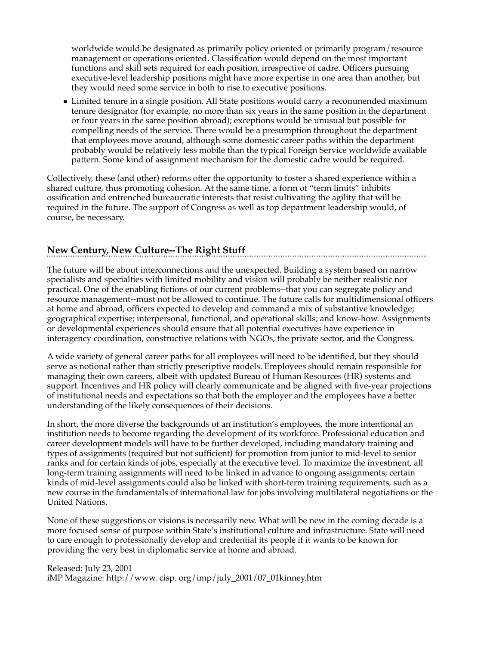worldwide would be designated as primarily policy oriented or primarily program/resource management or operations oriented. Classification would depend on the most important functions and skill sets required for each position, irrespective of cadre. Officers pursuing executive-level leadership positions might have more expertise in one area than another, but they would need some service in both to rise to executive positions.

**I** Limited tenure in a single position. All State positions would carry a recommended maximum tenure designator (for example, no more than six years in the same position in the department or four years in the same position abroad); exceptions would be unusual but possible for compelling needs of the service. There would be a presumption throughout the department that employees move around, although some domestic career paths within the department probably would be relatively less mobile than the typical Foreign Service worldwide available pattern. Some kind of assignment mechanism for the domestic cadre would be required.

Collectively, these (and other) reforms offer the opportunity to foster a shared experience within a shared culture, thus promoting cohesion. At the same time, a form of "term limits" inhibits ossification and entrenched bureaucratic interests that resist cultivating the agility that will be required in the future. The support of Congress as well as top department leadership would, of course, be necessary.

# **New Century, New Culture--The Right Stuff**

The future will be about interconnections and the unexpected. Building a system based on narrow specialists and specialties with limited mobility and vision will probably be neither realistic nor practical. One of the enabling fictions of our current problems--that you can segregate policy and resource management--must not be allowed to continue. The future calls for multidimensional officers at home and abroad, officers expected to develop and command a mix of substantive knowledge; geographical expertise; interpersonal, functional, and operational skills; and know-how. Assignments or developmental experiences should ensure that all potential executives have experience in interagency coordination, constructive relations with NGOs, the private sector, and the Congress.

A wide variety of general career paths for all employees will need to be identified, but they should serve as notional rather than strictly prescriptive models. Employees should remain responsible for managing their own careers, albeit with updated Bureau of Human Resources (HR) systems and support. Incentives and HR policy will clearly communicate and be aligned with five-year projections of institutional needs and expectations so that both the employer and the employees have a better understanding of the likely consequences of their decisions.

In short, the more diverse the backgrounds of an institution's employees, the more intentional an institution needs to become regarding the development of its workforce. Professional education and career development models will have to be further developed, including mandatory training and types of assignments (required but not sufficient) for promotion from junior to mid-level to senior ranks and for certain kinds of jobs, especially at the executive level. To maximize the investment, all long-term training assignments will need to be linked in advance to ongoing assignments; certain kinds of mid-level assignments could also be linked with short-term training requirements, such as a new course in the fundamentals of international law for jobs involving multilateral negotiations or the United Nations.

None of these suggestions or visions is necessarily new. What will be new in the coming decade is a more focused sense of purpose within State's institutional culture and infrastructure. State will need to care enough to professionally develop and credential its people if it wants to be known for providing the very best in diplomatic service at home and abroad.

Released: July 23, 2001 iMP Magazine: http://www. cisp. org/imp/july\_2001/07\_01kinney.htm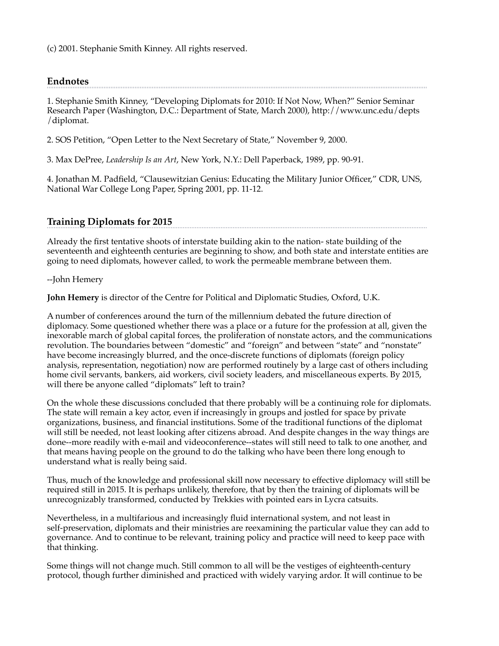(c) 2001. Stephanie Smith Kinney. All rights reserved.

#### **Endnotes**

1. Stephanie Smith Kinney, "Developing Diplomats for 2010: If Not Now, When?" Senior Seminar Research Paper (Washington, D.C.: Department of State, March 2000), http://www.unc.edu/depts /diplomat.

2. SOS Petition, "Open Letter to the Next Secretary of State," November 9, 2000.

3. Max DePree, *Leadership Is an Art*, New York, N.Y.: Dell Paperback, 1989, pp. 90-91.

4. Jonathan M. Padfield, "Clausewitzian Genius: Educating the Military Junior Officer," CDR, UNS, National War College Long Paper, Spring 2001, pp. 11-12.

### **Training Diplomats for 2015**

Already the first tentative shoots of interstate building akin to the nation- state building of the seventeenth and eighteenth centuries are beginning to show, and both state and interstate entities are going to need diplomats, however called, to work the permeable membrane between them.

--John Hemery

**John Hemery** is director of the Centre for Political and Diplomatic Studies, Oxford, U.K.

A number of conferences around the turn of the millennium debated the future direction of diplomacy. Some questioned whether there was a place or a future for the profession at all, given the inexorable march of global capital forces, the proliferation of nonstate actors, and the communications revolution. The boundaries between "domestic" and "foreign" and between "state" and "nonstate" have become increasingly blurred, and the once-discrete functions of diplomats (foreign policy analysis, representation, negotiation) now are performed routinely by a large cast of others including home civil servants, bankers, aid workers, civil society leaders, and miscellaneous experts. By 2015, will there be anyone called "diplomats" left to train?

On the whole these discussions concluded that there probably will be a continuing role for diplomats. The state will remain a key actor, even if increasingly in groups and jostled for space by private organizations, business, and financial institutions. Some of the traditional functions of the diplomat will still be needed, not least looking after citizens abroad. And despite changes in the way things are done--more readily with e-mail and videoconference--states will still need to talk to one another, and that means having people on the ground to do the talking who have been there long enough to understand what is really being said.

Thus, much of the knowledge and professional skill now necessary to effective diplomacy will still be required still in 2015. It is perhaps unlikely, therefore, that by then the training of diplomats will be unrecognizably transformed, conducted by Trekkies with pointed ears in Lycra catsuits.

Nevertheless, in a multifarious and increasingly fluid international system, and not least in self-preservation, diplomats and their ministries are reexamining the particular value they can add to governance. And to continue to be relevant, training policy and practice will need to keep pace with that thinking.

Some things will not change much. Still common to all will be the vestiges of eighteenth-century protocol, though further diminished and practiced with widely varying ardor. It will continue to be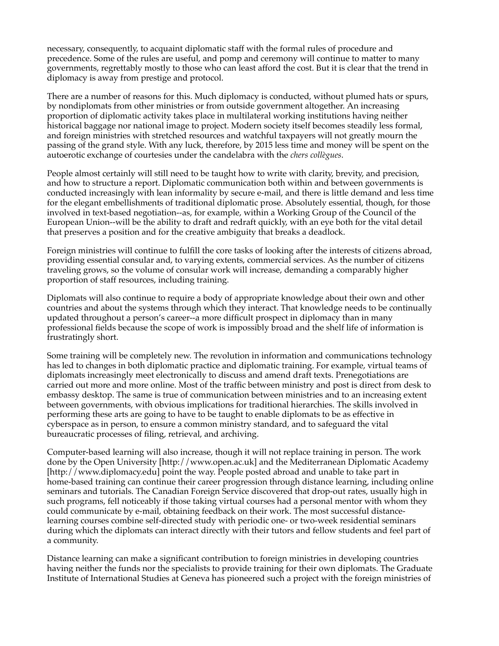necessary, consequently, to acquaint diplomatic staff with the formal rules of procedure and precedence. Some of the rules are useful, and pomp and ceremony will continue to matter to many governments, regrettably mostly to those who can least afford the cost. But it is clear that the trend in diplomacy is away from prestige and protocol.

There are a number of reasons for this. Much diplomacy is conducted, without plumed hats or spurs, by nondiplomats from other ministries or from outside government altogether. An increasing proportion of diplomatic activity takes place in multilateral working institutions having neither historical baggage nor national image to project. Modern society itself becomes steadily less formal, and foreign ministries with stretched resources and watchful taxpayers will not greatly mourn the passing of the grand style. With any luck, therefore, by 2015 less time and money will be spent on the autoerotic exchange of courtesies under the candelabra with the *chers collègues*.

People almost certainly will still need to be taught how to write with clarity, brevity, and precision, and how to structure a report. Diplomatic communication both within and between governments is conducted increasingly with lean informality by secure e-mail, and there is little demand and less time for the elegant embellishments of traditional diplomatic prose. Absolutely essential, though, for those involved in text-based negotiation--as, for example, within a Working Group of the Council of the European Union--will be the ability to draft and redraft quickly, with an eye both for the vital detail that preserves a position and for the creative ambiguity that breaks a deadlock.

Foreign ministries will continue to fulfill the core tasks of looking after the interests of citizens abroad, providing essential consular and, to varying extents, commercial services. As the number of citizens traveling grows, so the volume of consular work will increase, demanding a comparably higher proportion of staff resources, including training.

Diplomats will also continue to require a body of appropriate knowledge about their own and other countries and about the systems through which they interact. That knowledge needs to be continually updated throughout a person's career--a more difficult prospect in diplomacy than in many professional fields because the scope of work is impossibly broad and the shelf life of information is frustratingly short.

Some training will be completely new. The revolution in information and communications technology has led to changes in both diplomatic practice and diplomatic training. For example, virtual teams of diplomats increasingly meet electronically to discuss and amend draft texts. Prenegotiations are carried out more and more online. Most of the traffic between ministry and post is direct from desk to embassy desktop. The same is true of communication between ministries and to an increasing extent between governments, with obvious implications for traditional hierarchies. The skills involved in performing these arts are going to have to be taught to enable diplomats to be as effective in cyberspace as in person, to ensure a common ministry standard, and to safeguard the vital bureaucratic processes of filing, retrieval, and archiving.

Computer-based learning will also increase, though it will not replace training in person. The work done by the Open University [http://www.open.ac.uk] and the Mediterranean Diplomatic Academy [http://www.diplomacy.edu] point the way. People posted abroad and unable to take part in home-based training can continue their career progression through distance learning, including online seminars and tutorials. The Canadian Foreign Service discovered that drop-out rates, usually high in such programs, fell noticeably if those taking virtual courses had a personal mentor with whom they could communicate by e-mail, obtaining feedback on their work. The most successful distancelearning courses combine self-directed study with periodic one- or two-week residential seminars during which the diplomats can interact directly with their tutors and fellow students and feel part of a community.

Distance learning can make a significant contribution to foreign ministries in developing countries having neither the funds nor the specialists to provide training for their own diplomats. The Graduate Institute of International Studies at Geneva has pioneered such a project with the foreign ministries of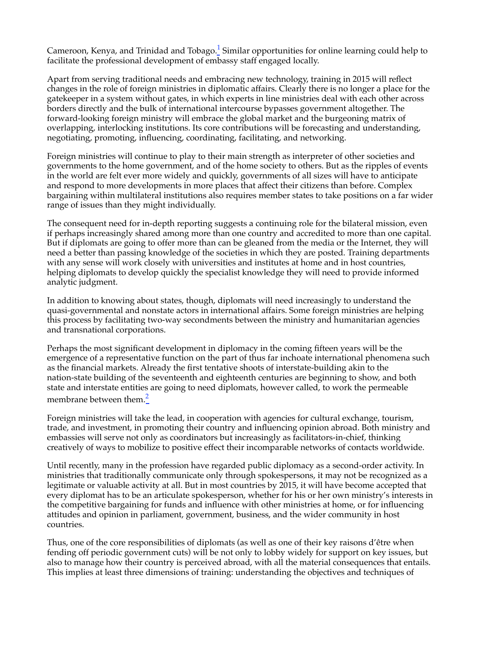Cameroon, Kenya, and Trinidad and Tobago. $^{1}$  Similar opportunities for online learning could help to facilitate the professional development of embassy staff engaged locally.

Apart from serving traditional needs and embracing new technology, training in 2015 will reflect changes in the role of foreign ministries in diplomatic affairs. Clearly there is no longer a place for the gatekeeper in a system without gates, in which experts in line ministries deal with each other across borders directly and the bulk of international intercourse bypasses government altogether. The forward-looking foreign ministry will embrace the global market and the burgeoning matrix of overlapping, interlocking institutions. Its core contributions will be forecasting and understanding, negotiating, promoting, influencing, coordinating, facilitating, and networking.

Foreign ministries will continue to play to their main strength as interpreter of other societies and governments to the home government, and of the home society to others. But as the ripples of events in the world are felt ever more widely and quickly, governments of all sizes will have to anticipate and respond to more developments in more places that affect their citizens than before. Complex bargaining within multilateral institutions also requires member states to take positions on a far wider range of issues than they might individually.

The consequent need for in-depth reporting suggests a continuing role for the bilateral mission, even if perhaps increasingly shared among more than one country and accredited to more than one capital. But if diplomats are going to offer more than can be gleaned from the media or the Internet, they will need a better than passing knowledge of the societies in which they are posted. Training departments with any sense will work closely with universities and institutes at home and in host countries, helping diplomats to develop quickly the specialist knowledge they will need to provide informed analytic judgment.

In addition to knowing about states, though, diplomats will need increasingly to understand the quasi-governmental and nonstate actors in international affairs. Some foreign ministries are helping this process by facilitating two-way secondments between the ministry and humanitarian agencies and transnational corporations.

Perhaps the most significant development in diplomacy in the coming fifteen years will be the emergence of a representative function on the part of thus far inchoate international phenomena such as the financial markets. Already the first tentative shoots of interstate-building akin to the nation-state building of the seventeenth and eighteenth centuries are beginning to show, and both state and interstate entities are going to need diplomats, however called, to work the permeable membrane between them.<sup>2</sup>

Foreign ministries will take the lead, in cooperation with agencies for cultural exchange, tourism, trade, and investment, in promoting their country and influencing opinion abroad. Both ministry and embassies will serve not only as coordinators but increasingly as facilitators-in-chief, thinking creatively of ways to mobilize to positive effect their incomparable networks of contacts worldwide.

Until recently, many in the profession have regarded public diplomacy as a second-order activity. In ministries that traditionally communicate only through spokespersons, it may not be recognized as a legitimate or valuable activity at all. But in most countries by 2015, it will have become accepted that every diplomat has to be an articulate spokesperson, whether for his or her own ministry's interests in the competitive bargaining for funds and influence with other ministries at home, or for influencing attitudes and opinion in parliament, government, business, and the wider community in host countries.

Thus, one of the core responsibilities of diplomats (as well as one of their key raisons d'être when fending off periodic government cuts) will be not only to lobby widely for support on key issues, but also to manage how their country is perceived abroad, with all the material consequences that entails. This implies at least three dimensions of training: understanding the objectives and techniques of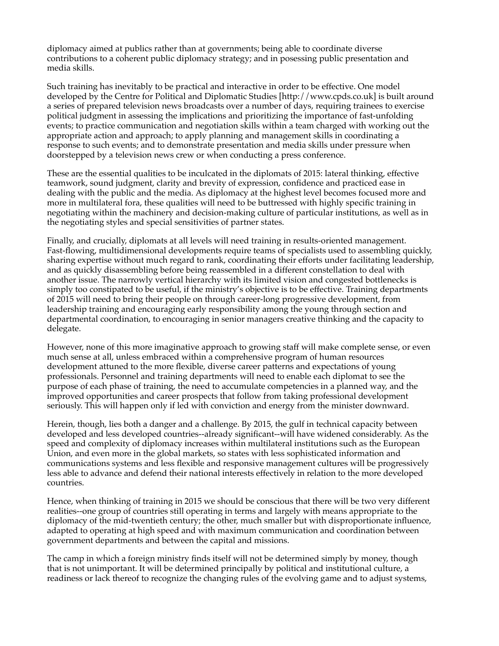diplomacy aimed at publics rather than at governments; being able to coordinate diverse contributions to a coherent public diplomacy strategy; and in posessing public presentation and media skills.

Such training has inevitably to be practical and interactive in order to be effective. One model developed by the Centre for Political and Diplomatic Studies [http://www.cpds.co.uk] is built around a series of prepared television news broadcasts over a number of days, requiring trainees to exercise political judgment in assessing the implications and prioritizing the importance of fast-unfolding events; to practice communication and negotiation skills within a team charged with working out the appropriate action and approach; to apply planning and management skills in coordinating a response to such events; and to demonstrate presentation and media skills under pressure when doorstepped by a television news crew or when conducting a press conference.

These are the essential qualities to be inculcated in the diplomats of 2015: lateral thinking, effective teamwork, sound judgment, clarity and brevity of expression, confidence and practiced ease in dealing with the public and the media. As diplomacy at the highest level becomes focused more and more in multilateral fora, these qualities will need to be buttressed with highly specific training in negotiating within the machinery and decision-making culture of particular institutions, as well as in the negotiating styles and special sensitivities of partner states.

Finally, and crucially, diplomats at all levels will need training in results-oriented management. Fast-flowing, multidimensional developments require teams of specialists used to assembling quickly, sharing expertise without much regard to rank, coordinating their efforts under facilitating leadership, and as quickly disassembling before being reassembled in a different constellation to deal with another issue. The narrowly vertical hierarchy with its limited vision and congested bottlenecks is simply too constipated to be useful, if the ministry's objective is to be effective. Training departments of 2015 will need to bring their people on through career-long progressive development, from leadership training and encouraging early responsibility among the young through section and departmental coordination, to encouraging in senior managers creative thinking and the capacity to delegate.

However, none of this more imaginative approach to growing staff will make complete sense, or even much sense at all, unless embraced within a comprehensive program of human resources development attuned to the more flexible, diverse career patterns and expectations of young professionals. Personnel and training departments will need to enable each diplomat to see the purpose of each phase of training, the need to accumulate competencies in a planned way, and the improved opportunities and career prospects that follow from taking professional development seriously. This will happen only if led with conviction and energy from the minister downward.

Herein, though, lies both a danger and a challenge. By 2015, the gulf in technical capacity between developed and less developed countries--already significant--will have widened considerably. As the speed and complexity of diplomacy increases within multilateral institutions such as the European Union, and even more in the global markets, so states with less sophisticated information and communications systems and less flexible and responsive management cultures will be progressively less able to advance and defend their national interests effectively in relation to the more developed countries.

Hence, when thinking of training in 2015 we should be conscious that there will be two very different realities--one group of countries still operating in terms and largely with means appropriate to the diplomacy of the mid-twentieth century; the other, much smaller but with disproportionate influence, adapted to operating at high speed and with maximum communication and coordination between government departments and between the capital and missions.

The camp in which a foreign ministry finds itself will not be determined simply by money, though that is not unimportant. It will be determined principally by political and institutional culture, a readiness or lack thereof to recognize the changing rules of the evolving game and to adjust systems,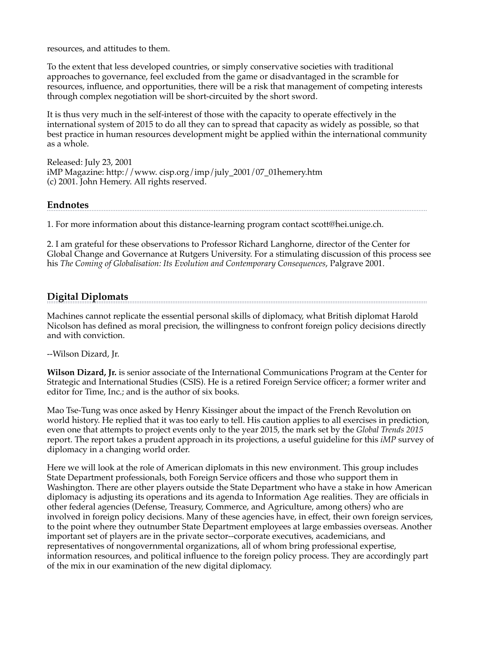resources, and attitudes to them.

To the extent that less developed countries, or simply conservative societies with traditional approaches to governance, feel excluded from the game or disadvantaged in the scramble for resources, influence, and opportunities, there will be a risk that management of competing interests through complex negotiation will be short-circuited by the short sword.

It is thus very much in the self-interest of those with the capacity to operate effectively in the international system of 2015 to do all they can to spread that capacity as widely as possible, so that best practice in human resources development might be applied within the international community as a whole.

Released: July 23, 2001 iMP Magazine: http://www. cisp.org/imp/july\_2001/07\_01hemery.htm (c) 2001. John Hemery. All rights reserved.

### **Endnotes**

1. For more information about this distance-learning program contact scott@hei.unige.ch.

2. I am grateful for these observations to Professor Richard Langhorne, director of the Center for Global Change and Governance at Rutgers University. For a stimulating discussion of this process see his *The Coming of Globalisation: Its Evolution and Contemporary Consequences*, Palgrave 2001.

# **Digital Diplomats**

Machines cannot replicate the essential personal skills of diplomacy, what British diplomat Harold Nicolson has defined as moral precision, the willingness to confront foreign policy decisions directly and with conviction.

--Wilson Dizard, Jr.

**Wilson Dizard, Jr.** is senior associate of the International Communications Program at the Center for Strategic and International Studies (CSIS). He is a retired Foreign Service officer; a former writer and editor for Time, Inc.; and is the author of six books.

Mao Tse-Tung was once asked by Henry Kissinger about the impact of the French Revolution on world history. He replied that it was too early to tell. His caution applies to all exercises in prediction, even one that attempts to project events only to the year 2015, the mark set by the *Global Trends 2015* report. The report takes a prudent approach in its projections, a useful guideline for this *iMP* survey of diplomacy in a changing world order.

Here we will look at the role of American diplomats in this new environment. This group includes State Department professionals, both Foreign Service officers and those who support them in Washington. There are other players outside the State Department who have a stake in how American diplomacy is adjusting its operations and its agenda to Information Age realities. They are officials in other federal agencies (Defense, Treasury, Commerce, and Agriculture, among others) who are involved in foreign policy decisions. Many of these agencies have, in effect, their own foreign services, to the point where they outnumber State Department employees at large embassies overseas. Another important set of players are in the private sector--corporate executives, academicians, and representatives of nongovernmental organizations, all of whom bring professional expertise, information resources, and political influence to the foreign policy process. They are accordingly part of the mix in our examination of the new digital diplomacy.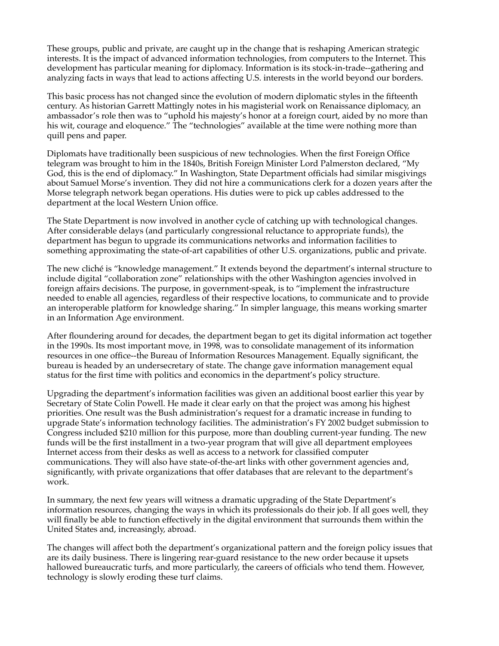These groups, public and private, are caught up in the change that is reshaping American strategic interests. It is the impact of advanced information technologies, from computers to the Internet. This development has particular meaning for diplomacy. Information is its stock-in-trade--gathering and analyzing facts in ways that lead to actions affecting U.S. interests in the world beyond our borders.

This basic process has not changed since the evolution of modern diplomatic styles in the fifteenth century. As historian Garrett Mattingly notes in his magisterial work on Renaissance diplomacy, an ambassador's role then was to "uphold his majesty's honor at a foreign court, aided by no more than his wit, courage and eloquence." The "technologies" available at the time were nothing more than quill pens and paper.

Diplomats have traditionally been suspicious of new technologies. When the first Foreign Office telegram was brought to him in the 1840s, British Foreign Minister Lord Palmerston declared, "My God, this is the end of diplomacy." In Washington, State Department officials had similar misgivings about Samuel Morse's invention. They did not hire a communications clerk for a dozen years after the Morse telegraph network began operations. His duties were to pick up cables addressed to the department at the local Western Union office.

The State Department is now involved in another cycle of catching up with technological changes. After considerable delays (and particularly congressional reluctance to appropriate funds), the department has begun to upgrade its communications networks and information facilities to something approximating the state-of-art capabilities of other U.S. organizations, public and private.

The new cliché is "knowledge management." It extends beyond the department's internal structure to include digital "collaboration zone" relationships with the other Washington agencies involved in foreign affairs decisions. The purpose, in government-speak, is to "implement the infrastructure needed to enable all agencies, regardless of their respective locations, to communicate and to provide an interoperable platform for knowledge sharing." In simpler language, this means working smarter in an Information Age environment.

After floundering around for decades, the department began to get its digital information act together in the 1990s. Its most important move, in 1998, was to consolidate management of its information resources in one office--the Bureau of Information Resources Management. Equally significant, the bureau is headed by an undersecretary of state. The change gave information management equal status for the first time with politics and economics in the department's policy structure.

Upgrading the department's information facilities was given an additional boost earlier this year by Secretary of State Colin Powell. He made it clear early on that the project was among his highest priorities. One result was the Bush administration's request for a dramatic increase in funding to upgrade State's information technology facilities. The administration's FY 2002 budget submission to Congress included \$210 million for this purpose, more than doubling current-year funding. The new funds will be the first installment in a two-year program that will give all department employees Internet access from their desks as well as access to a network for classified computer communications. They will also have state-of-the-art links with other government agencies and, significantly, with private organizations that offer databases that are relevant to the department's work.

In summary, the next few years will witness a dramatic upgrading of the State Department's information resources, changing the ways in which its professionals do their job. If all goes well, they will finally be able to function effectively in the digital environment that surrounds them within the United States and, increasingly, abroad.

The changes will affect both the department's organizational pattern and the foreign policy issues that are its daily business. There is lingering rear-guard resistance to the new order because it upsets hallowed bureaucratic turfs, and more particularly, the careers of officials who tend them. However, technology is slowly eroding these turf claims.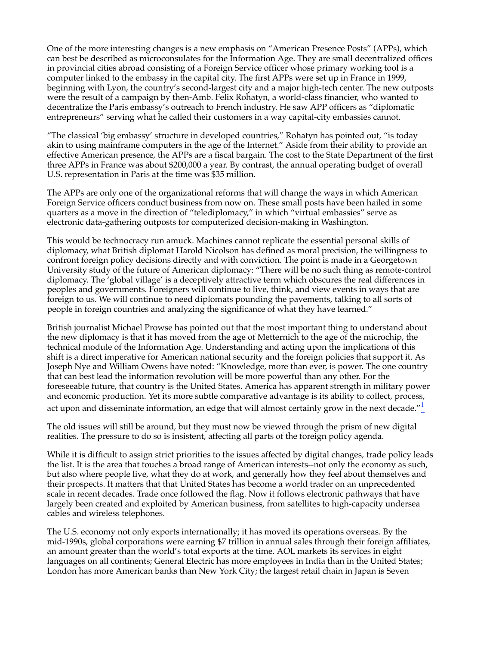One of the more interesting changes is a new emphasis on "American Presence Posts" (APPs), which can best be described as microconsulates for the Information Age. They are small decentralized offices in provincial cities abroad consisting of a Foreign Service officer whose primary working tool is a computer linked to the embassy in the capital city. The first APPs were set up in France in 1999, beginning with Lyon, the country's second-largest city and a major high-tech center. The new outposts were the result of a campaign by then-Amb. Felix Rohatyn, a world-class financier, who wanted to decentralize the Paris embassy's outreach to French industry. He saw APP officers as "diplomatic entrepreneurs" serving what he called their customers in a way capital-city embassies cannot.

"The classical 'big embassy' structure in developed countries," Rohatyn has pointed out, "is today akin to using mainframe computers in the age of the Internet." Aside from their ability to provide an effective American presence, the APPs are a fiscal bargain. The cost to the State Department of the first three APPs in France was about \$200,000 a year. By contrast, the annual operating budget of overall U.S. representation in Paris at the time was \$35 million.

The APPs are only one of the organizational reforms that will change the ways in which American Foreign Service officers conduct business from now on. These small posts have been hailed in some quarters as a move in the direction of "telediplomacy," in which "virtual embassies" serve as electronic data-gathering outposts for computerized decision-making in Washington.

This would be technocracy run amuck. Machines cannot replicate the essential personal skills of diplomacy, what British diplomat Harold Nicolson has defined as moral precision, the willingness to confront foreign policy decisions directly and with conviction. The point is made in a Georgetown University study of the future of American diplomacy: "There will be no such thing as remote-control diplomacy. The 'global village' is a deceptively attractive term which obscures the real differences in peoples and governments. Foreigners will continue to live, think, and view events in ways that are foreign to us. We will continue to need diplomats pounding the pavements, talking to all sorts of people in foreign countries and analyzing the significance of what they have learned."

British journalist Michael Prowse has pointed out that the most important thing to understand about the new diplomacy is that it has moved from the age of Metternich to the age of the microchip, the technical module of the Information Age. Understanding and acting upon the implications of this shift is a direct imperative for American national security and the foreign policies that support it. As Joseph Nye and William Owens have noted: "Knowledge, more than ever, is power. The one country that can best lead the information revolution will be more powerful than any other. For the foreseeable future, that country is the United States. America has apparent strength in military power and economic production. Yet its more subtle comparative advantage is its ability to collect, process, act upon and disseminate information, an edge that will almost certainly grow in the next decade." $\frac{1}{2}$ 

The old issues will still be around, but they must now be viewed through the prism of new digital realities. The pressure to do so is insistent, affecting all parts of the foreign policy agenda.

While it is difficult to assign strict priorities to the issues affected by digital changes, trade policy leads the list. It is the area that touches a broad range of American interests--not only the economy as such, but also where people live, what they do at work, and generally how they feel about themselves and their prospects. It matters that that United States has become a world trader on an unprecedented scale in recent decades. Trade once followed the flag. Now it follows electronic pathways that have largely been created and exploited by American business, from satellites to high-capacity undersea cables and wireless telephones.

The U.S. economy not only exports internationally; it has moved its operations overseas. By the mid-1990s, global corporations were earning \$7 trillion in annual sales through their foreign affiliates, an amount greater than the world's total exports at the time. AOL markets its services in eight languages on all continents; General Electric has more employees in India than in the United States; London has more American banks than New York City; the largest retail chain in Japan is Seven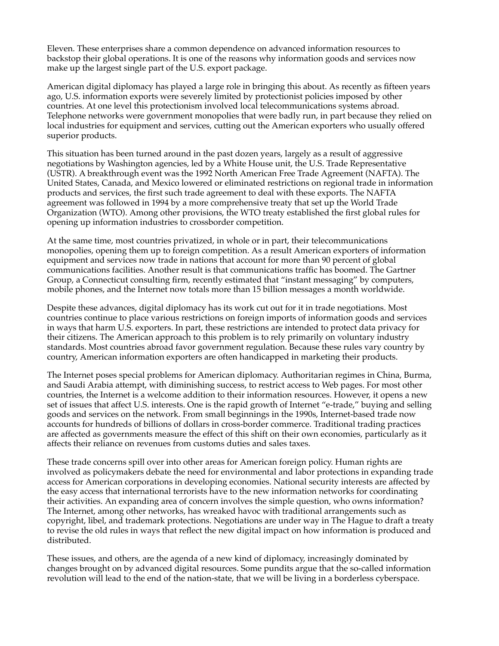Eleven. These enterprises share a common dependence on advanced information resources to backstop their global operations. It is one of the reasons why information goods and services now make up the largest single part of the U.S. export package.

American digital diplomacy has played a large role in bringing this about. As recently as fifteen years ago, U.S. information exports were severely limited by protectionist policies imposed by other countries. At one level this protectionism involved local telecommunications systems abroad. Telephone networks were government monopolies that were badly run, in part because they relied on local industries for equipment and services, cutting out the American exporters who usually offered superior products.

This situation has been turned around in the past dozen years, largely as a result of aggressive negotiations by Washington agencies, led by a White House unit, the U.S. Trade Representative (USTR). A breakthrough event was the 1992 North American Free Trade Agreement (NAFTA). The United States, Canada, and Mexico lowered or eliminated restrictions on regional trade in information products and services, the first such trade agreement to deal with these exports. The NAFTA agreement was followed in 1994 by a more comprehensive treaty that set up the World Trade Organization (WTO). Among other provisions, the WTO treaty established the first global rules for opening up information industries to crossborder competition.

At the same time, most countries privatized, in whole or in part, their telecommunications monopolies, opening them up to foreign competition. As a result American exporters of information equipment and services now trade in nations that account for more than 90 percent of global communications facilities. Another result is that communications traffic has boomed. The Gartner Group, a Connecticut consulting firm, recently estimated that "instant messaging" by computers, mobile phones, and the Internet now totals more than 15 billion messages a month worldwide.

Despite these advances, digital diplomacy has its work cut out for it in trade negotiations. Most countries continue to place various restrictions on foreign imports of information goods and services in ways that harm U.S. exporters. In part, these restrictions are intended to protect data privacy for their citizens. The American approach to this problem is to rely primarily on voluntary industry standards. Most countries abroad favor government regulation. Because these rules vary country by country, American information exporters are often handicapped in marketing their products.

The Internet poses special problems for American diplomacy. Authoritarian regimes in China, Burma, and Saudi Arabia attempt, with diminishing success, to restrict access to Web pages. For most other countries, the Internet is a welcome addition to their information resources. However, it opens a new set of issues that affect U.S. interests. One is the rapid growth of Internet "e-trade," buying and selling goods and services on the network. From small beginnings in the 1990s, Internet-based trade now accounts for hundreds of billions of dollars in cross-border commerce. Traditional trading practices are affected as governments measure the effect of this shift on their own economies, particularly as it affects their reliance on revenues from customs duties and sales taxes.

These trade concerns spill over into other areas for American foreign policy. Human rights are involved as policymakers debate the need for environmental and labor protections in expanding trade access for American corporations in developing economies. National security interests are affected by the easy access that international terrorists have to the new information networks for coordinating their activities. An expanding area of concern involves the simple question, who owns information? The Internet, among other networks, has wreaked havoc with traditional arrangements such as copyright, libel, and trademark protections. Negotiations are under way in The Hague to draft a treaty to revise the old rules in ways that reflect the new digital impact on how information is produced and distributed.

These issues, and others, are the agenda of a new kind of diplomacy, increasingly dominated by changes brought on by advanced digital resources. Some pundits argue that the so-called information revolution will lead to the end of the nation-state, that we will be living in a borderless cyberspace.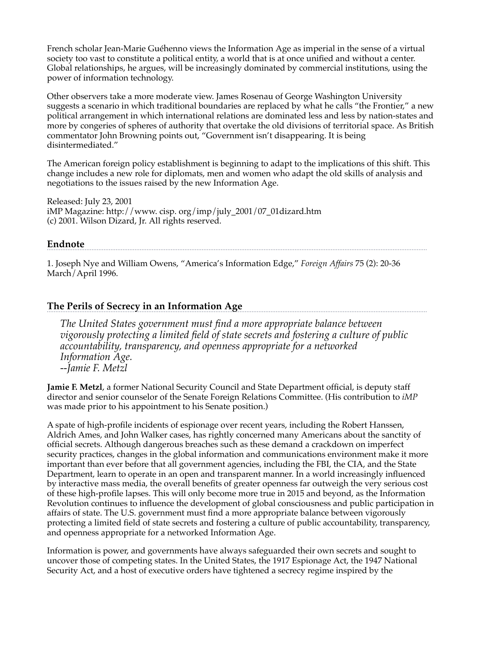French scholar Jean-Marie Guéhenno views the Information Age as imperial in the sense of a virtual society too vast to constitute a political entity, a world that is at once unified and without a center. Global relationships, he argues, will be increasingly dominated by commercial institutions, using the power of information technology.

Other observers take a more moderate view. James Rosenau of George Washington University suggests a scenario in which traditional boundaries are replaced by what he calls "the Frontier," a new political arrangement in which international relations are dominated less and less by nation-states and more by congeries of spheres of authority that overtake the old divisions of territorial space. As British commentator John Browning points out, "Government isn't disappearing. It is being disintermediated."

The American foreign policy establishment is beginning to adapt to the implications of this shift. This change includes a new role for diplomats, men and women who adapt the old skills of analysis and negotiations to the issues raised by the new Information Age.

Released: July 23, 2001 iMP Magazine: http://www. cisp. org/imp/july\_2001/07\_01dizard.htm (c) 2001. Wilson Dizard, Jr. All rights reserved.

### **Endnote**

1. Joseph Nye and William Owens, "America's Information Edge," *Foreign Affairs* 75 (2): 20-36 March/April 1996.

# **The Perils of Secrecy in an Information Age**

*The United States government must find a more appropriate balance between vigorously protecting a limited field of state secrets and fostering a culture of public accountability, transparency, and openness appropriate for a networked Information Age. --Jamie F. Metzl*

**Jamie F. Metzl**, a former National Security Council and State Department official, is deputy staff director and senior counselor of the Senate Foreign Relations Committee. (His contribution to *iMP* was made prior to his appointment to his Senate position.)

A spate of high-profile incidents of espionage over recent years, including the Robert Hanssen, Aldrich Ames, and John Walker cases, has rightly concerned many Americans about the sanctity of official secrets. Although dangerous breaches such as these demand a crackdown on imperfect security practices, changes in the global information and communications environment make it more important than ever before that all government agencies, including the FBI, the CIA, and the State Department, learn to operate in an open and transparent manner. In a world increasingly influenced by interactive mass media, the overall benefits of greater openness far outweigh the very serious cost of these high-profile lapses. This will only become more true in 2015 and beyond, as the Information Revolution continues to influence the development of global consciousness and public participation in affairs of state. The U.S. government must find a more appropriate balance between vigorously protecting a limited field of state secrets and fostering a culture of public accountability, transparency, and openness appropriate for a networked Information Age.

Information is power, and governments have always safeguarded their own secrets and sought to uncover those of competing states. In the United States, the 1917 Espionage Act, the 1947 National Security Act, and a host of executive orders have tightened a secrecy regime inspired by the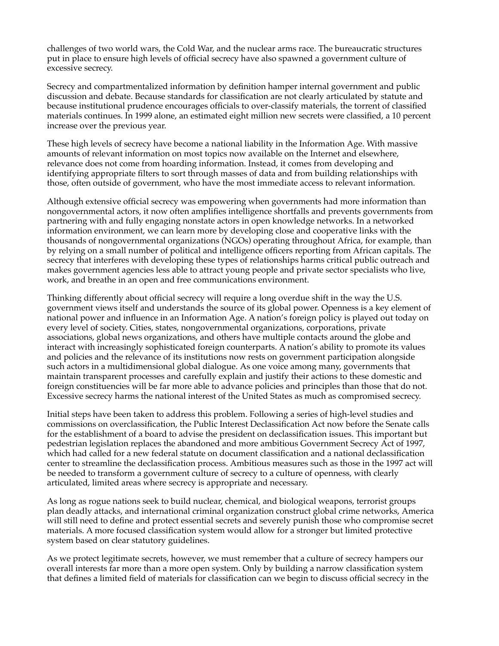challenges of two world wars, the Cold War, and the nuclear arms race. The bureaucratic structures put in place to ensure high levels of official secrecy have also spawned a government culture of excessive secrecy.

Secrecy and compartmentalized information by definition hamper internal government and public discussion and debate. Because standards for classification are not clearly articulated by statute and because institutional prudence encourages officials to over-classify materials, the torrent of classified materials continues. In 1999 alone, an estimated eight million new secrets were classified, a 10 percent increase over the previous year.

These high levels of secrecy have become a national liability in the Information Age. With massive amounts of relevant information on most topics now available on the Internet and elsewhere, relevance does not come from hoarding information. Instead, it comes from developing and identifying appropriate filters to sort through masses of data and from building relationships with those, often outside of government, who have the most immediate access to relevant information.

Although extensive official secrecy was empowering when governments had more information than nongovernmental actors, it now often amplifies intelligence shortfalls and prevents governments from partnering with and fully engaging nonstate actors in open knowledge networks. In a networked information environment, we can learn more by developing close and cooperative links with the thousands of nongovernmental organizations (NGOs) operating throughout Africa, for example, than by relying on a small number of political and intelligence officers reporting from African capitals. The secrecy that interferes with developing these types of relationships harms critical public outreach and makes government agencies less able to attract young people and private sector specialists who live, work, and breathe in an open and free communications environment.

Thinking differently about official secrecy will require a long overdue shift in the way the U.S. government views itself and understands the source of its global power. Openness is a key element of national power and influence in an Information Age. A nation's foreign policy is played out today on every level of society. Cities, states, nongovernmental organizations, corporations, private associations, global news organizations, and others have multiple contacts around the globe and interact with increasingly sophisticated foreign counterparts. A nation's ability to promote its values and policies and the relevance of its institutions now rests on government participation alongside such actors in a multidimensional global dialogue. As one voice among many, governments that maintain transparent processes and carefully explain and justify their actions to these domestic and foreign constituencies will be far more able to advance policies and principles than those that do not. Excessive secrecy harms the national interest of the United States as much as compromised secrecy.

Initial steps have been taken to address this problem. Following a series of high-level studies and commissions on overclassification, the Public Interest Declassification Act now before the Senate calls for the establishment of a board to advise the president on declassification issues. This important but pedestrian legislation replaces the abandoned and more ambitious Government Secrecy Act of 1997, which had called for a new federal statute on document classification and a national declassification center to streamline the declassification process. Ambitious measures such as those in the 1997 act will be needed to transform a government culture of secrecy to a culture of openness, with clearly articulated, limited areas where secrecy is appropriate and necessary.

As long as rogue nations seek to build nuclear, chemical, and biological weapons, terrorist groups plan deadly attacks, and international criminal organization construct global crime networks, America will still need to define and protect essential secrets and severely punish those who compromise secret materials. A more focused classification system would allow for a stronger but limited protective system based on clear statutory guidelines.

As we protect legitimate secrets, however, we must remember that a culture of secrecy hampers our overall interests far more than a more open system. Only by building a narrow classification system that defines a limited field of materials for classification can we begin to discuss official secrecy in the